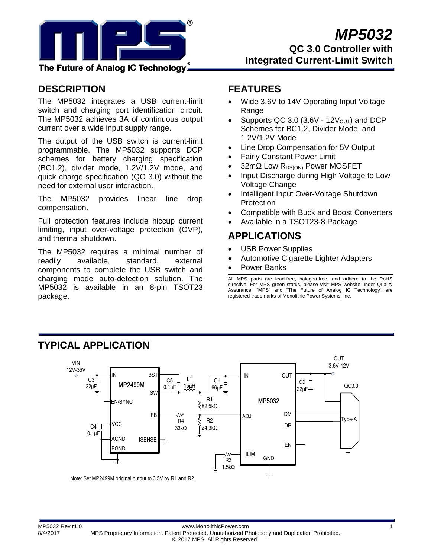

**Integrated Current-Limit Switch**

## The Future of Analog IC Technology.

## **DESCRIPTION**

The MP5032 integrates a USB current-limit switch and charging port identification circuit. The MP5032 achieves 3A of continuous output current over a wide input supply range.

The output of the USB switch is current-limit programmable. The MP5032 supports DCP schemes for battery charging specification (BC1.2), divider mode, 1.2V/1.2V mode, and quick charge specification (QC 3.0) without the need for external user interaction.

The MP5032 provides linear line drop compensation.

Full protection features include hiccup current limiting, input over-voltage protection (OVP), and thermal shutdown.

The MP5032 requires a minimal number of readily available, standard, external components to complete the USB switch and charging mode auto-detection solution. The MP5032 is available in an 8-pin TSOT23 package.

## **FEATURES**

- Wide 3.6V to 14V Operating Input Voltage Range
- Supports QC 3.0 (3.6V  $12V<sub>OUT</sub>$ ) and DCP Schemes for BC1.2, Divider Mode, and 1.2V/1.2V Mode
- Line Drop Compensation for 5V Output
- Fairly Constant Power Limit
- 32mΩ Low R<sub>DS(ON)</sub> Power MOSFET
- Input Discharge during High Voltage to Low Voltage Change
- Intelligent Input Over-Voltage Shutdown **Protection**
- Compatible with Buck and Boost Converters
- Available in a TSOT23-8 Package

## **APPLICATIONS**

- USB Power Supplies
- Automotive Cigarette Lighter Adapters
- Power Banks

All MPS parts are lead-free, halogen-free, and adhere to the RoHS directive. For MPS green status, please visit MPS website under Quality Assurance. "MPS" and "The Future of Analog IC Technology" are registered trademarks of Monolithic Power Systems, Inc.



# **TYPICAL APPLICATION**

Note: Set MP2499M original output to 3.5V by R1 and R2.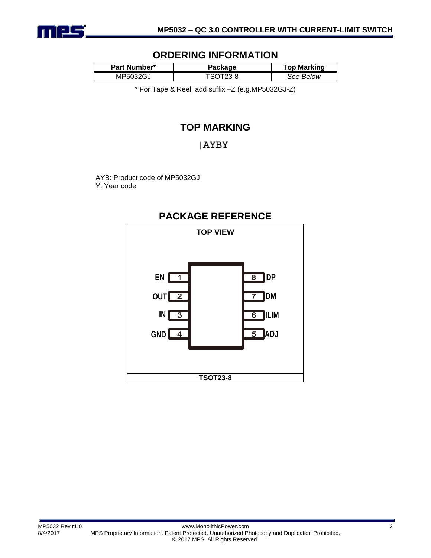

### **ORDERING INFORMATION**

| Part Number* | Package | <b>Top Marking</b> |  |
|--------------|---------|--------------------|--|
| MP5032GJ     | 7-A     | See Below          |  |

\* For Tape & Reel, add suffix –Z (e.g.MP5032GJ-Z)

## **TOP MARKING**

### **AYBY**

AYB: Product code of MP5032GJ Y: Year code



### **PACKAGE REFERENCE**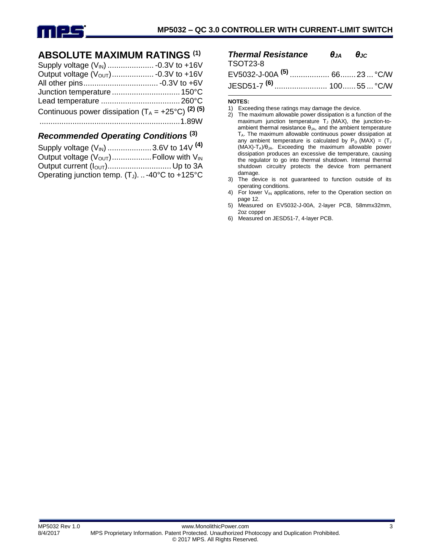

## **ABSOLUTE MAXIMUM RATINGS (1)**

| Continuous power dissipation $(T_A = +25^{\circ}C)^{(2)}$ (5) |  |
|---------------------------------------------------------------|--|
|                                                               |  |
|                                                               |  |

#### *Recommended Operating Conditions* **(3)**

| Supply voltage (V <sub>IN</sub> ) 3.6V to 14V <sup>(4)</sup>  |  |
|---------------------------------------------------------------|--|
| Output voltage $(V_{\text{OUT}})$ Follow with $V_{\text{IN}}$ |  |
|                                                               |  |
| Operating junction temp. $(T_J)$ -40°C to +125°C              |  |

| <b>Thermal Resistance</b> $\theta_{JA}$ $\theta_{JC}$ |  |  |
|-------------------------------------------------------|--|--|
| TSOT23-8                                              |  |  |
|                                                       |  |  |
| JESD51-7 <sup>(6)</sup> 10055  °C/W                   |  |  |

#### **NOTES:**

- 1) Exceeding these ratings may damage the device.
- 2) The maximum allowable power dissipation is a function of the maximum junction temperature  $T_J$  (MAX), the junction-toambient thermal resistance  $\theta_{JA}$ , and the ambient temperature  $T_A$ . The maximum allowable continuous power dissipation at any ambient temperature is calculated by  $P_D$  (MAX) = (T<sub>J</sub>  $(MAX)-T_A)/\theta_{JA}$ . Exceeding the maximum allowable power dissipation produces an excessive die temperature, causing the regulator to go into thermal shutdown. Internal thermal shutdown circuitry protects the device from permanent damage.
- 3) The device is not guaranteed to function outside of its operating conditions.
- 4) For lower  $V_{IN}$  applications, refer to the Operation section on page 12.
- 5) Measured on EV5032-J-00A, 2-layer PCB, 58mmx32mm, 2oz copper
- 6) Measured on JESD51-7, 4-layer PCB.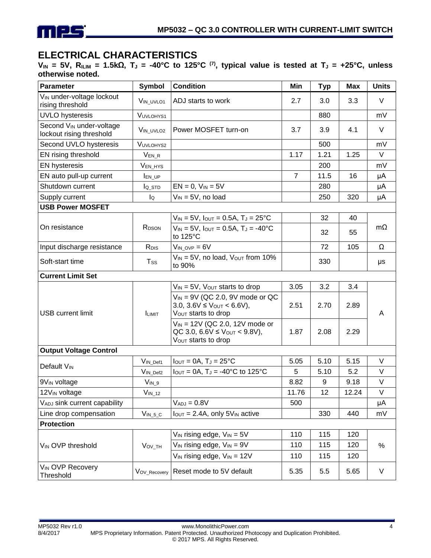

## **ELECTRICAL CHARACTERISTICS**

**VIN = 5V, RILIM = 1.5kΩ, T<sup>J</sup> = -40°C to 125°C (7) , typical value is tested at T<sup>J</sup> = +25°C, unless otherwise noted.**

| Parameter                                                        | <b>Symbol</b>      | <b>Condition</b>                                                                                              | Min            | <b>Typ</b> | <b>Max</b> | <b>Units</b> |
|------------------------------------------------------------------|--------------------|---------------------------------------------------------------------------------------------------------------|----------------|------------|------------|--------------|
| V <sub>IN</sub> under-voltage lockout<br>rising threshold        | VIN UVLO1          | ADJ starts to work                                                                                            | 2.7            | 3.0        | 3.3        | V            |
| <b>UVLO</b> hysteresis                                           | VUVLOHYS1          |                                                                                                               |                | 880        |            | mV           |
| Second V <sub>IN</sub> under-voltage<br>lockout rising threshold | VIN_UVLO2          | Power MOSFET turn-on                                                                                          | 3.7            | 3.9        | 4.1        | $\vee$       |
| Second UVLO hysteresis                                           | VUVLOHYS2          |                                                                                                               |                | 500        |            | mV           |
| EN rising threshold                                              | $V_{EN_R}$         |                                                                                                               | 1.17           | 1.21       | 1.25       | V            |
| <b>EN hysteresis</b>                                             | VEN_HYS            |                                                                                                               |                | 200        |            | mV           |
| EN auto pull-up current                                          | <b>IEN_UP</b>      |                                                                                                               | $\overline{7}$ | 11.5       | 16         | μA           |
| Shutdown current                                                 | $I_{Q\_STD}$       | $EN = 0$ , $V_{IN} = 5V$                                                                                      |                | 280        |            | μA           |
| Supply current                                                   | lQ                 | $V_{IN} = 5V$ , no load                                                                                       |                | 250        | 320        | μA           |
| <b>USB Power MOSFET</b>                                          |                    |                                                                                                               |                |            |            |              |
|                                                                  |                    | $V_{IN} = 5V$ , $I_{OUT} = 0.5A$ , $T_J = 25^{\circ}C$                                                        |                | 32         | 40         |              |
| On resistance                                                    | R <sub>DSON</sub>  | $V_{IN} = 5V$ , $I_{OUT} = 0.5A$ , $T_J = -40^{\circ}C$<br>to 125°C                                           |                | 32         | 55         | $m\Omega$    |
| Input discharge resistance                                       | R <sub>DIS</sub>   | $V_{IN~OVP} = 6V$                                                                                             |                | 72         | 105        | Ω            |
| Soft-start time                                                  | $T_{SS}$           | $V_{IN} = 5V$ , no load, $V_{OUT}$ from 10%<br>to 90%                                                         |                | 330        |            | μs           |
| <b>Current Limit Set</b>                                         |                    |                                                                                                               |                |            |            |              |
|                                                                  |                    | $V_{IN} = 5V$ , $V_{OUT}$ starts to drop                                                                      | 3.05           | 3.2        | 3.4        |              |
| <b>USB current limit</b>                                         | <b>ILIMIT</b>      | $V_{IN}$ = 9V (QC 2.0, 9V mode or QC<br>3.0, $3.6V \leq V_{OUT} < 6.6V$ ),<br>V <sub>OUT</sub> starts to drop | 2.51           | 2.70       | 2.89       | A            |
|                                                                  |                    | $V_{IN}$ = 12V (QC 2.0, 12V mode or<br>QC 3.0, 6.6V $\leq$ Vout $<$ 9.8V),<br>Vout starts to drop             | 1.87           | 2.08       | 2.29       |              |
| <b>Output Voltage Control</b>                                    |                    |                                                                                                               |                |            |            |              |
| Default V <sub>IN</sub>                                          | VIN_Def1           | $I_{\text{OUT}} = 0A$ , $T_J = 25^{\circ}C$                                                                   | 5.05           | 5.10       | 5.15       | V            |
|                                                                  | VIN_Def2           | $I_{\text{OUT}} = 0A$ , T <sub>J</sub> = -40°C to 125°C                                                       | 5              | 5.10       | 5.2        | V            |
| 9V <sub>IN</sub> voltage                                         | $V_{IN\_9}$        |                                                                                                               | 8.82           | 9          | 9.18       | V            |
| 12V <sub>IN</sub> voltage                                        | $V_{IN_12}$        |                                                                                                               | 11.76          | 12         | 12.24      | V            |
| VADJ sink current capability                                     |                    | $V_{ADJ} = 0.8V$                                                                                              | 500            |            |            | μA           |
| Line drop compensation                                           | $V_{IN_5_C}$       | $I_{\text{OUT}} = 2.4A$ , only 5 $V_{\text{IN}}$ active                                                       |                | 330        | 440        | mV           |
| <b>Protection</b>                                                |                    |                                                                                                               |                |            |            |              |
|                                                                  | V <sub>ov_TH</sub> | $V_{IN}$ rising edge, $V_{IN} = 5V$                                                                           | 110            | 115        | 120        | $\%$         |
| VIN OVP threshold                                                |                    | $V_{IN}$ rising edge, $V_{IN} = 9V$                                                                           | 110            | 115        | 120        |              |
|                                                                  |                    | $V_{IN}$ rising edge, $V_{IN} = 12V$                                                                          | 110            | 115        | 120        |              |
| <b>VIN OVP Recovery</b><br>Threshold                             | VOV_Recovery       | Reset mode to 5V default                                                                                      | 5.35           | 5.5        | 5.65       | $\vee$       |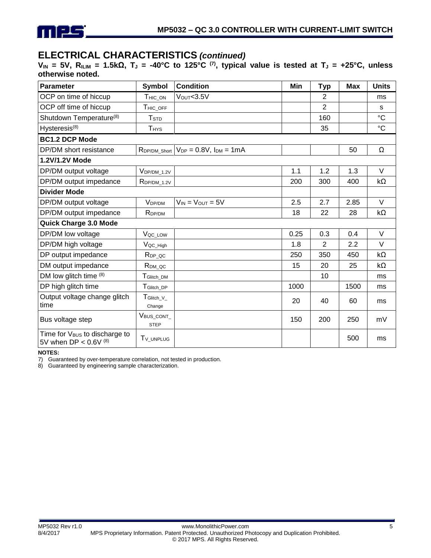

# **ELECTRICAL CHARACTERISTICS** *(continued)*

**VIN = 5V, RILIM = 1.5kΩ, T<sup>J</sup> = -40°C to 125°C (7) , typical value is tested at T<sup>J</sup> = +25°C, unless otherwise noted.**

| <b>Parameter</b>                                                     | <b>Symbol</b>                      | <b>Condition</b>                 | Min  | <b>Typ</b>     | <b>Max</b> | <b>Units</b> |
|----------------------------------------------------------------------|------------------------------------|----------------------------------|------|----------------|------------|--------------|
| OCP on time of hiccup                                                | T <sub>HIC_ON</sub>                | V <sub>OUT</sub> <3.5V           |      | $\overline{2}$ |            | ms           |
| OCP off time of hiccup                                               | THIC_OFF                           |                                  |      | $\overline{2}$ |            | s            |
| Shutdown Temperature <sup>(8)</sup>                                  | <b>T</b> <sub>STD</sub>            |                                  |      | 160            |            | $^{\circ}C$  |
| Hysteresis <sup>(8)</sup>                                            | <b>T</b> <sub>HYS</sub>            |                                  |      | 35             |            | $^{\circ}C$  |
| <b>BC1.2 DCP Mode</b>                                                |                                    |                                  |      |                |            |              |
| DP/DM short resistance                                               | RDP/DM_Short                       | $V_{DP} = 0.8V$ , $I_{DM} = 1mA$ |      |                | 50         | Ω            |
| 1.2V/1.2V Mode                                                       |                                    |                                  |      |                |            |              |
| DP/DM output voltage                                                 | $V_{DP/DM_1.2V}$                   |                                  | 1.1  | 1.2            | 1.3        | $\vee$       |
| DP/DM output impedance                                               | RDP/DM_1.2V                        |                                  | 200  | 300            | 400        | $k\Omega$    |
| <b>Divider Mode</b>                                                  |                                    |                                  |      |                |            |              |
| DP/DM output voltage                                                 | V <sub>DP/DM</sub>                 | $V_{IN} = V_{OUT} = 5V$          | 2.5  | 2.7            | 2.85       | $\vee$       |
| DP/DM output impedance                                               | R <sub>DP/DM</sub>                 |                                  | 18   | 22             | 28         | $k\Omega$    |
| Quick Charge 3.0 Mode                                                |                                    |                                  |      |                |            |              |
| DP/DM low voltage                                                    | Voc_Low                            |                                  | 0.25 | 0.3            | 0.4        | V            |
| DP/DM high voltage                                                   | V <sub>QC_High</sub>               |                                  | 1.8  | $\overline{2}$ | 2.2        | $\vee$       |
| DP output impedance                                                  | $R_{DP\_QC}$                       |                                  | 250  | 350            | 450        | $k\Omega$    |
| DM output impedance                                                  | R <sub>DM_QC</sub>                 |                                  | 15   | 20             | 25         | $k\Omega$    |
| DM low glitch time (8)                                               | TGlitch_DM                         |                                  |      | 10             |            | ms           |
| DP high glitch time                                                  | T <sub>Glitch_DP</sub>             |                                  | 1000 |                | 1500       | ms           |
| Output voltage change glitch<br>time                                 | $T_{\text{Glitch\_V}_-}$<br>Change |                                  | 20   | 40             | 60         | ms           |
| Bus voltage step                                                     | VBUS_CONT_<br><b>STEP</b>          |                                  | 150  | 200            | 250        | mV           |
| Time for V <sub>BUS</sub> to discharge to<br>5V when DP < $0.6V$ (8) | T <sub>V</sub> UNPLUG              |                                  |      |                | 500        | ms           |

**NOTES:**

7) Guaranteed by over-temperature correlation, not tested in production.

8) Guaranteed by engineering sample characterization.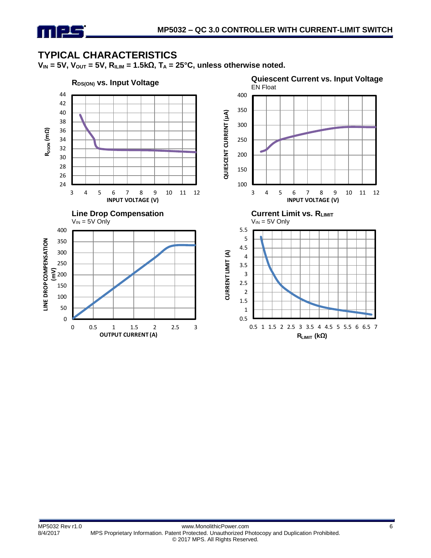

## **TYPICAL CHARACTERISTICS**

 $V_{IN}$  = 5V,  $V_{OUT}$  = 5V,  $R_{ILIM}$  = 1.5k $\Omega$ ,  $T_A$  = 25°C, unless otherwise noted.

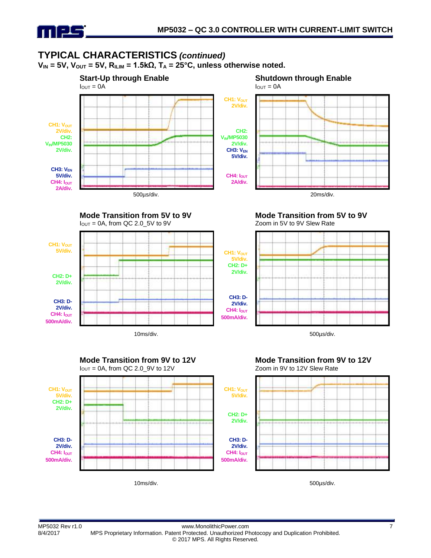

CH1: V<sub>OUT</sub> **5V/div.**

> **CH2: D+ 2V/div.**

**CH3: D-2V/div.** CH4: I<sub>OUT</sub> **500mA/div.**

# **TYPICAL CHARACTERISTICS** *(continued)*

 $V_{IN}$  = 5V,  $V_{OUT}$  = 5V,  $R_{ILIM}$  = 1.5k $\Omega$ ,  $T_A$  = 25°C, unless otherwise noted.



**Mode Transition from 5V to 9V**  $I_{\text{OUT}} = 0A$ , from QC 2.0 5V to 9V



**Mode Transition from 5V to 9V** Zoom in 5V to 9V Slew Rate



10ms/div. 500µs/div.





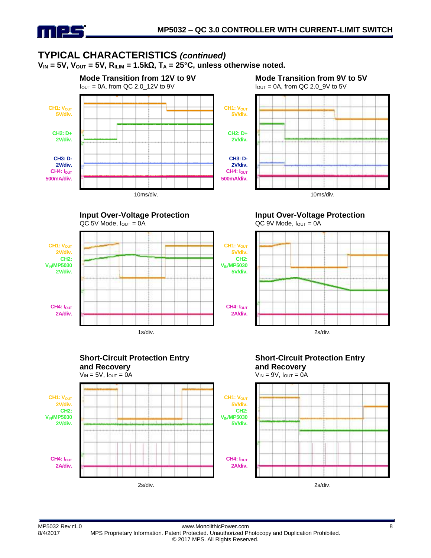

## **TYPICAL CHARACTERISTICS** *(continued)*

 $V_{IN}$  = 5V,  $V_{OUT}$  = 5V,  $R_{ILIM}$  = 1.5kΩ,  $T_A$  = 25°C, unless otherwise noted.



**Input Over-Voltage Protection**



**Mode Transition from 9V to 5V**





#### **Input Over-Voltage Protection**  $QC$  9V Mode,  $I_{OUT} = 0A$







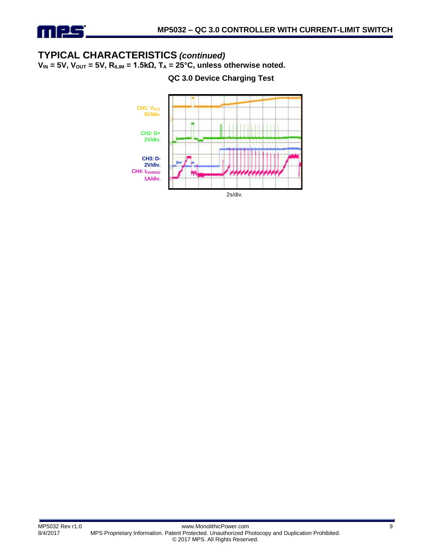

# **TYPICAL CHARACTERISTICS** *(continued)*

 $V_{IN} = 5V$ ,  $V_{OUT} = 5V$ ,  $R_{ILIM} = 1.5k\Omega$ ,  $T_A = 25°C$ , unless otherwise noted.

**QC 3.0 Device Charging Test**

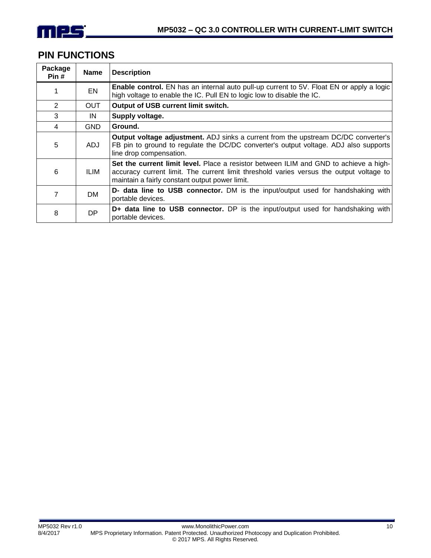

## **PIN FUNCTIONS**

| Package<br>Pin# | <b>Name</b> | <b>Description</b>                                                                                                                                                                                                                 |  |
|-----------------|-------------|------------------------------------------------------------------------------------------------------------------------------------------------------------------------------------------------------------------------------------|--|
|                 | EN          | <b>Enable control.</b> EN has an internal auto pull-up current to 5V. Float EN or apply a logic<br>high voltage to enable the IC. Pull EN to logic low to disable the IC.                                                          |  |
| 2               | OUT.        | Output of USB current limit switch.                                                                                                                                                                                                |  |
| 3               | IN          | Supply voltage.                                                                                                                                                                                                                    |  |
| 4               | <b>GND</b>  | Ground.                                                                                                                                                                                                                            |  |
| 5               | ADJ.        | <b>Output voltage adjustment.</b> ADJ sinks a current from the upstream DC/DC converter's<br>FB pin to ground to regulate the DC/DC converter's output voltage. ADJ also supports<br>line drop compensation.                       |  |
| 6               | ILIM.       | Set the current limit level. Place a resistor between ILIM and GND to achieve a high-<br>accuracy current limit. The current limit threshold varies versus the output voltage to<br>maintain a fairly constant output power limit. |  |
| 7               | DM.         | D- data line to USB connector. DM is the input/output used for handshaking with<br>portable devices.                                                                                                                               |  |
| 8               | DP.         | D+ data line to USB connector. DP is the input/output used for handshaking with<br>portable devices.                                                                                                                               |  |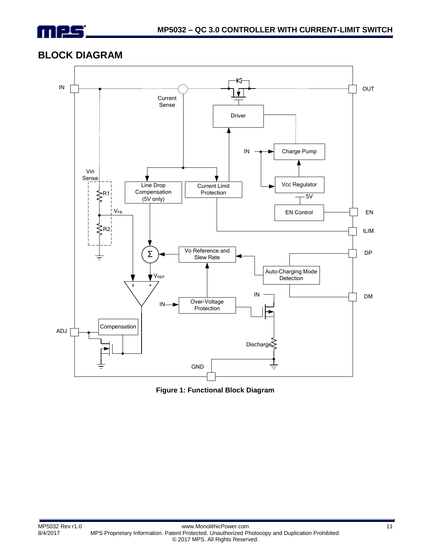

### **BLOCK DIAGRAM**



**Figure 1: Functional Block Diagram**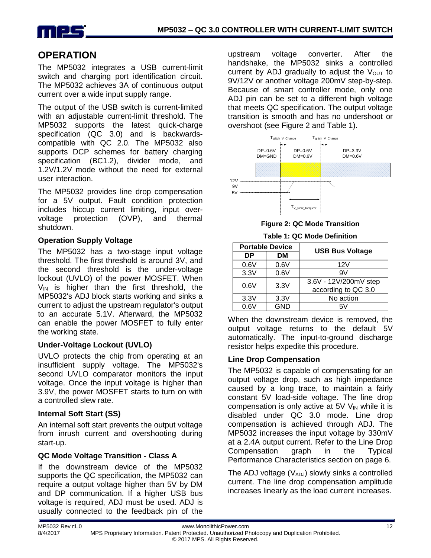

## **OPERATION**

The MP5032 integrates a USB current-limit switch and charging port identification circuit. The MP5032 achieves 3A of continuous output current over a wide input supply range.

The output of the USB switch is current-limited with an adjustable current-limit threshold. The MP5032 supports the latest quick-charge specification (QC 3.0) and is backwardscompatible with QC 2.0. The MP5032 also supports DCP schemes for battery charging specification (BC1.2), divider mode, and 1.2V/1.2V mode without the need for external user interaction.

The MP5032 provides line drop compensation for a 5V output. Fault condition protection includes hiccup current limiting, input overvoltage protection (OVP), and thermal shutdown.

#### **Operation Supply Voltage**

The MP5032 has a two-stage input voltage threshold. The first threshold is around 3V, and the second threshold is the under-voltage lockout (UVLO) of the power MOSFET. When  $V_{IN}$  is higher than the first threshold, the MP5032's ADJ block starts working and sinks a current to adjust the upstream regulator's output to an accurate 5.1V. Afterward, the MP5032 can enable the power MOSFET to fully enter the working state.

#### **Under-Voltage Lockout (UVLO)**

UVLO protects the chip from operating at an insufficient supply voltage. The MP5032's second UVLO comparator monitors the input voltage. Once the input voltage is higher than 3.9V, the power MOSFET starts to turn on with a controlled slew rate.

#### **Internal Soft Start (SS)**

An internal soft start prevents the output voltage from inrush current and overshooting during start-up.

### **QC Mode Voltage Transition - Class A**

If the downstream device of the MP5032 supports the QC specification, the MP5032 can require a output voltage higher than 5V by DM and DP communication. If a higher USB bus voltage is required, ADJ must be used. ADJ is usually connected to the feedback pin of the upstream voltage converter. After the handshake, the MP5032 sinks a controlled current by ADJ gradually to adjust the  $V_{\text{OUT}}$  to 9V/12V or another voltage 200mV step-by-step. Because of smart controller mode, only one ADJ pin can be set to a different high voltage that meets QC specification. The output voltage transition is smooth and has no undershoot or overshoot (see Figure 2 and Table 1).



**Figure 2: QC Mode Transition**

**Table 1: QC Mode Definition**

| <b>Portable Device</b> |      | <b>USB Bus Voltage</b> |
|------------------------|------|------------------------|
| DΡ                     | DМ   |                        |
| 0.6V                   | 0.6V | 12V                    |
| 3.3V                   | 0.6V | 9V                     |
| 0.6V                   | 3.3V | 3.6V - 12V/200mV step  |
|                        |      | according to QC 3.0    |
| 3.3V                   | 3.3V | No action              |
| 0.6V                   | GND  | 57                     |

When the downstream device is removed, the output voltage returns to the default 5V automatically. The input-to-ground discharge resistor helps expedite this procedure.

### **Line Drop Compensation**

The MP5032 is capable of compensating for an output voltage drop, such as high impedance caused by a long trace, to maintain a fairly constant 5V load-side voltage. The line drop compensation is only active at  $5V$  V<sub>IN</sub> while it is disabled under QC 3.0 mode. Line drop compensation is achieved through ADJ. The MP5032 increases the input voltage by 330mV at a 2.4A output current. Refer to the Line Drop Compensation graph in the Typical Performance Characteristics section on page 6.

The ADJ voltage  $(V_{ADJ})$  slowly sinks a controlled current. The line drop compensation amplitude increases linearly as the load current increases.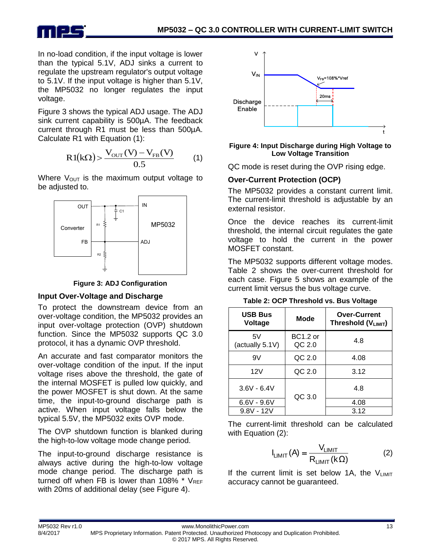

In no-load condition, if the input voltage is lower than the typical 5.1V, ADJ sinks a current to regulate the upstream regulator's output voltage to 5.1V. If the input voltage is higher than 5.1V, the MP5032 no longer regulates the input voltage.

Figure 3 shows the typical ADJ usage. The ADJ sink current capability is 500µA. The feedback current through R1 must be less than 500µA. Calculate R1 with Equation (1):

$$
R1(k\Omega) > \frac{V_{\text{OUT}}(V) - V_{\text{FB}}(V)}{0.5}
$$
 (1)

Where  $V_{\text{OUT}}$  is the maximum output voltage to be adjusted to.



**Figure 3: ADJ Configuration**

#### **Input Over-Voltage and Discharge**

To protect the downstream device from an over-voltage condition, the MP5032 provides an input over-voltage protection (OVP) shutdown function. Since the MP5032 supports QC 3.0 protocol, it has a dynamic OVP threshold.

An accurate and fast comparator monitors the over-voltage condition of the input. If the input voltage rises above the threshold, the gate of the internal MOSFET is pulled low quickly, and the power MOSFET is shut down. At the same time, the input-to-ground discharge path is active. When input voltage falls below the typical 5.5V, the MP5032 exits OVP mode.

The OVP shutdown function is blanked during the high-to-low voltage mode change period.

The input-to-ground discharge resistance is always active during the high-to-low voltage mode change period. The discharge path is turned off when FB is lower than 108%  $*$  V<sub>REF</sub> with 20ms of additional delay (see Figure 4).



#### **Figure 4: Input Discharge during High Voltage to Low Voltage Transition**

QC mode is reset during the OVP rising edge.

#### **Over-Current Protection (OCP)**

The MP5032 provides a constant current limit. The current-limit threshold is adjustable by an external resistor.

Once the device reaches its current-limit threshold, the internal circuit regulates the gate voltage to hold the current in the power MOSFET constant.

The MP5032 supports different voltage modes. Table 2 shows the over-current threshold for each case. Figure 5 shows an example of the current limit versus the bus voltage curve.

**Table 2: OCP Threshold vs. Bus Voltage**

| <b>USB Bus</b><br><b>Voltage</b> | <b>Mode</b>               | <b>Over-Current</b><br>Threshold (VLIMIT) |
|----------------------------------|---------------------------|-------------------------------------------|
| 5V<br>(actually 5.1V)            | <b>BC1.2 or</b><br>QC 2.0 | 4.8                                       |
| 9V                               | QC 2.0                    | 4.08                                      |
| 12V                              | QC 2.0                    | 3.12                                      |
| $3.6V - 6.4V$                    | QC 3.0                    | 4.8                                       |
| $6.6V - 9.6V$                    |                           | 4.08                                      |
| $9.8V - 12V$                     |                           | 3.12                                      |

The current-limit threshold can be calculated with Equation (2):

$$
I_{LIMIT}(A) = \frac{V_{LIMIT}}{R_{LIMIT}(k\Omega)}
$$
 (2)

If the current limit is set below 1A, the  $V_{LIMIT}$ accuracy cannot be guaranteed.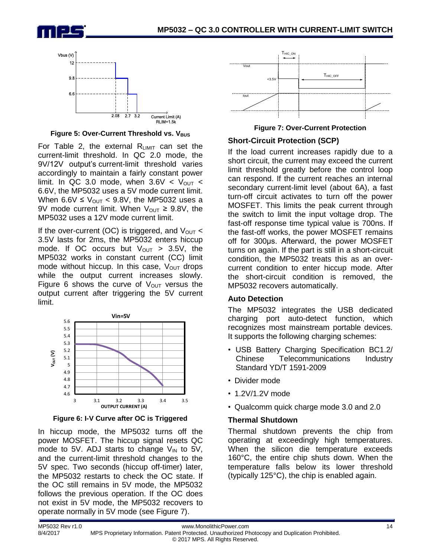



**Figure 5: Over-Current Threshold vs. V<sub>BUS</sub>** 

For Table 2, the external  $R_{LIMIT}$  can set the current-limit threshold. In QC 2.0 mode, the 9V/12V output's current-limit threshold varies accordingly to maintain a fairly constant power limit. In QC 3.0 mode, when  $3.6V < V_{\text{OUT}} <$ 6.6V, the MP5032 uses a 5V mode current limit. When  $6.6V \leq V_{\text{OUT}} < 9.8V$ , the MP5032 uses a 9V mode current limit. When  $V_{\text{OUT}} \geq 9.8V$ , the MP5032 uses a 12V mode current limit.

If the over-current (OC) is triggered, and  $V_{\text{OUT}}$  < 3.5V lasts for 2ms, the MP5032 enters hiccup mode. If OC occurs but  $V_{\text{OUT}} > 3.5V$ , the MP5032 works in constant current (CC) limit mode without hiccup. In this case,  $V_{\text{OUT}}$  drops while the output current increases slowly. Figure 6 shows the curve of  $V_{\text{OUT}}$  versus the output current after triggering the 5V current limit.



**Figure 6: I-V Curve after OC is Triggered**

In hiccup mode, the MP5032 turns off the power MOSFET. The hiccup signal resets QC mode to 5V. ADJ starts to change  $V_{IN}$  to 5V, and the current-limit threshold changes to the 5V spec. Two seconds (hiccup off-timer) later, the MP5032 restarts to check the OC state. If the OC still remains in 5V mode, the MP5032 follows the previous operation. If the OC does not exist in 5V mode, the MP5032 recovers to operate normally in 5V mode (see Figure 7).



**Figure 7: Over-Current Protection**

#### **Short-Circuit Protection (SCP)**

If the load current increases rapidly due to a short circuit, the current may exceed the current limit threshold greatly before the control loop can respond. If the current reaches an internal secondary current-limit level (about 6A), a fast turn-off circuit activates to turn off the power MOSFET. This limits the peak current through the switch to limit the input voltage drop. The fast-off response time typical value is 700ns. If the fast-off works, the power MOSFET remains off for 300μs. Afterward, the power MOSFET turns on again. If the part is still in a short-circuit condition, the MP5032 treats this as an overcurrent condition to enter hiccup mode. After the short-circuit condition is removed, the MP5032 recovers automatically.

#### **Auto Detection**

The MP5032 integrates the USB dedicated charging port auto-detect function, which recognizes most mainstream portable devices. It supports the following charging schemes:

- USB Battery Charging Specification BC1.2/ Chinese Telecommunications Industry Standard YD/T 1591-2009
- Divider mode
- 1.2V/1.2V mode
- Qualcomm quick charge mode 3.0 and 2.0

#### **Thermal Shutdown**

Thermal shutdown prevents the chip from operating at exceedingly high temperatures. When the silicon die temperature exceeds 160°C, the entire chip shuts down. When the temperature falls below its lower threshold (typically 125°C), the chip is enabled again.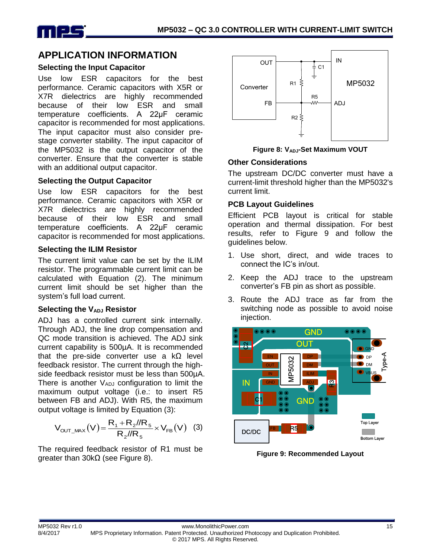

## **APPLICATION INFORMATION**

#### **Selecting the Input Capacitor**

Use low ESR capacitors for the best performance. Ceramic capacitors with X5R or X7R dielectrics are highly recommended because of their low ESR and small temperature coefficients. A 22μF ceramic capacitor is recommended for most applications. The input capacitor must also consider prestage converter stability. The input capacitor of the MP5032 is the output capacitor of the converter. Ensure that the converter is stable with an additional output capacitor.

#### **Selecting the Output Capacitor**

Use low ESR capacitors for the best performance. Ceramic capacitors with X5R or X7R dielectrics are highly recommended because of their low ESR and small temperature coefficients. A 22μF ceramic capacitor is recommended for most applications.

#### **Selecting the ILIM Resistor**

The current limit value can be set by the ILIM resistor. The programmable current limit can be calculated with Equation (2). The minimum current limit should be set higher than the system's full load current.

#### **Selecting the VADJ Resistor**

ADJ has a controlled current sink internally. Through ADJ, the line drop compensation and QC mode transition is achieved. The ADJ sink current capability is 500µA. It is recommended that the pre-side converter use a kΩ level feedback resistor. The current through the highside feedback resistor must be less than 500µA. There is another  $V_{ADJ}$  configuration to limit the maximum output voltage (i.e.: to insert R5 between FB and ADJ). With R5, the maximum output voltage is limited by Equation (3):

$$
V_{OUT\_MAX}(V) = \frac{R_1 + R_2 / R_5}{R_2 / R_5} \times V_{FB}(V) \quad (3)
$$

The required feedback resistor of R1 must be greater than 30kΩ (see Figure 8).



**Figure 8: VADJ-Set Maximum VOUT**

#### **Other Considerations**

The upstream DC/DC converter must have a current-limit threshold higher than the MP5032's current limit.

#### **PCB Layout Guidelines**

Efficient PCB layout is critical for stable operation and thermal dissipation. For best results, refer to Figure 9 and follow the guidelines below.

- 1. Use short, direct, and wide traces to connect the IC's in/out.
- 2. Keep the ADJ trace to the upstream converter's FB pin as short as possible.
- 3. Route the ADJ trace as far from the switching node as possible to avoid noise injection.



**Figure 9: Recommended Layout**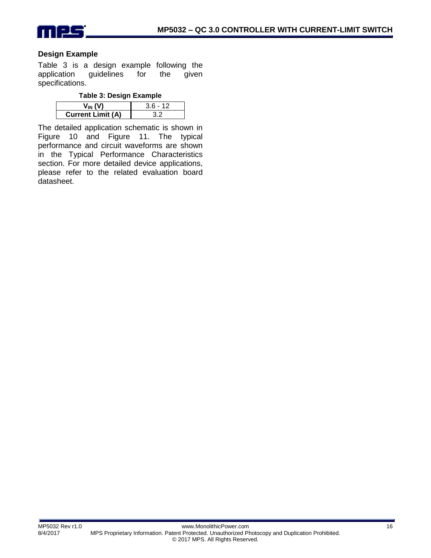

#### **Design Example**

Table 3 is a design example following the application guidelines for the given specifications.

| <b>Current Limit (A)</b> |  |
|--------------------------|--|

The detailed application schematic is shown in Figure 10 and Figure 11. The typical performance and circuit waveforms are shown in the Typical Performance Characteristics section. For more detailed device applications, please refer to the related evaluation board datasheet.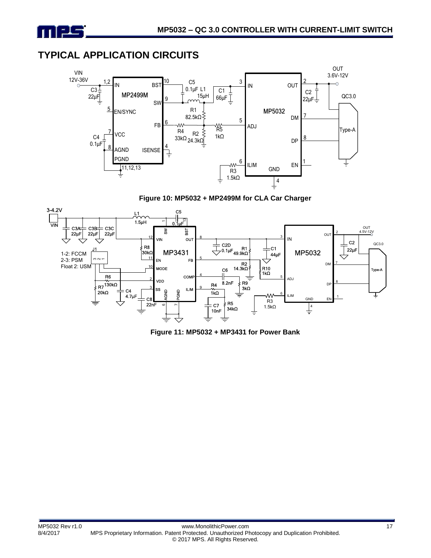

## **TYPICAL APPLICATION CIRCUITS**



**Figure 10: MP5032 + MP2499M for CLA Car Charger**



**Figure 11: MP5032 + MP3431 for Power Bank**